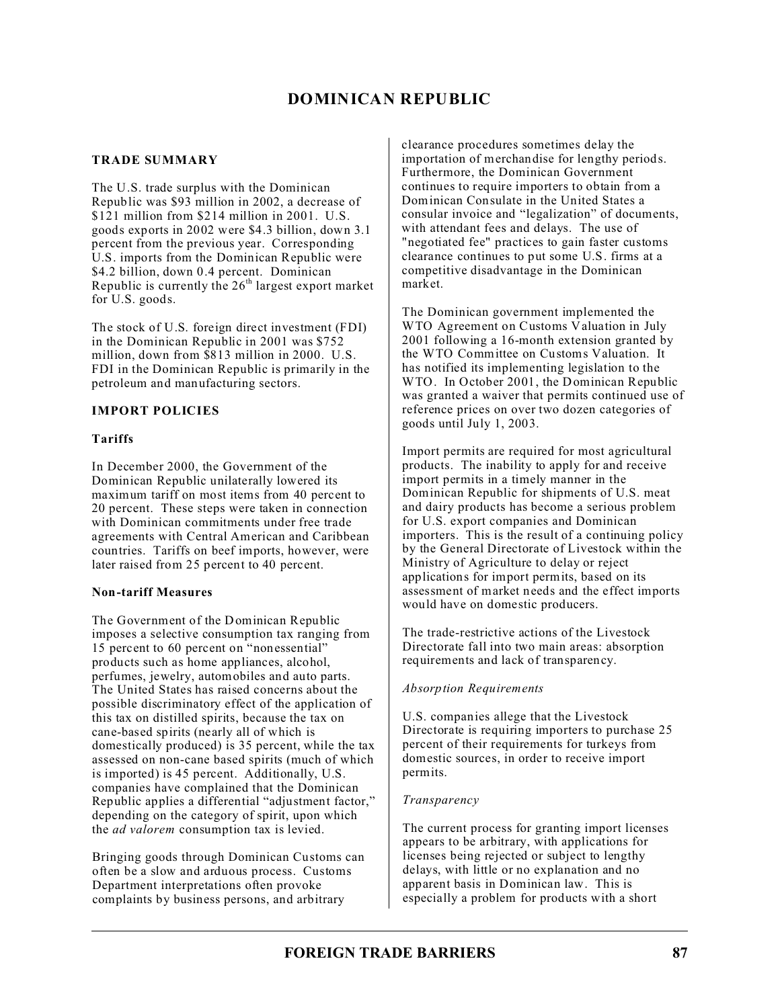# **DOMINICAN REPUBLIC**

## **TRADE SUMMARY**

The U.S. trade surplus with the Dominican Republic was \$93 million in 2002, a decrease of \$121 million from \$214 million in 2001. U.S. goods exports in 2002 were \$4.3 billion, down 3.1 percent from the previous year. Corresponding U.S. imports from the Dominican Republic were \$4.2 billion, down 0.4 percent. Dominican Republic is currently the  $26<sup>th</sup>$  largest export market for U.S. goods.

The stock of U.S. foreign direct investment (FDI) in the Dominican Republic in 2001 was \$752 million, down from \$813 million in 2000. U.S. FDI in the Dominican Republic is primarily in the petroleum and manufacturing sectors.

### **IMPORT POLICIES**

### **Tariffs**

In December 2000, the Government of the Dominican Republic unilaterally lowered its maximum tariff on most items from 40 percent to 20 percent. These steps were taken in connection with Dominican commitments under free trade agreements with Central American and Caribbean countries. Tariffs on beef imports, however, were later raised from 25 percent to 40 percent.

#### **Non-tariff Measures**

The Government of the Dominican Republic imposes a selective consumption tax ranging from 15 percent to 60 percent on "nonessential" products such as home appliances, alcohol, perfumes, jewelry, automobiles and auto parts. The United States has raised concerns about the possible discriminatory effect of the application of this tax on distilled spirits, because the tax on cane-based spirits (nearly all of which is domestically produced) is 35 percent, while the tax assessed on non-cane based spirits (much of which is imported) is 45 percent. Additionally, U.S. companies have complained that the Dominican Republic applies a differential "adjustment factor," depending on the category of spirit, upon which the *ad valorem* consumption tax is levied.

Bringing goods through Dominican Customs can often be a slow and arduous process. Customs Department interpretations often provoke complaints by business persons, and arbitrary

clearance procedures sometimes delay the importation of merchandise for lengthy periods. Furthermore, the Dominican Government continues to require importers to obtain from a Dominican Consulate in the United States a consular invoice and "legalization" of documents, with attendant fees and delays. The use of "negotiated fee" practices to gain faster customs clearance continues to put some U.S. firms at a competitive disadvantage in the Dominican market.

The Dominican government implemented the WTO Agreement on Customs Valuation in July 2001 following a 16-month extension granted by the WTO Committee on Customs Valuation. It has notified its implementing legislation to the WTO. In October 2001, the Dominican Republic was granted a waiver that permits continued use of reference prices on over two dozen categories of goods until July 1, 2003.

Import permits are required for most agricultural products. The inability to apply for and receive import permits in a timely manner in the Dominican Republic for shipments of U.S. meat and dairy products has become a serious problem for U.S. export companies and Dominican importers. This is the result of a continuing policy by the General Directorate of Livestock within the Ministry of Agriculture to delay or reject applications for import permits, based on its assessment of market needs and the effect imports would have on domestic producers.

The trade-restrictive actions of the Livestock Directorate fall into two main areas: absorption requirements and lack of transparency.

#### *Absorption Requirements*

U.S. companies allege that the Livestock Directorate is requiring importers to purchase 25 percent of their requirements for turkeys from domestic sources, in order to receive import permits.

#### *Transparency*

The current process for granting import licenses appears to be arbitrary, with applications for licenses being rejected or subject to lengthy delays, with little or no explanation and no apparent basis in Dominican law. This is especially a problem for products with a short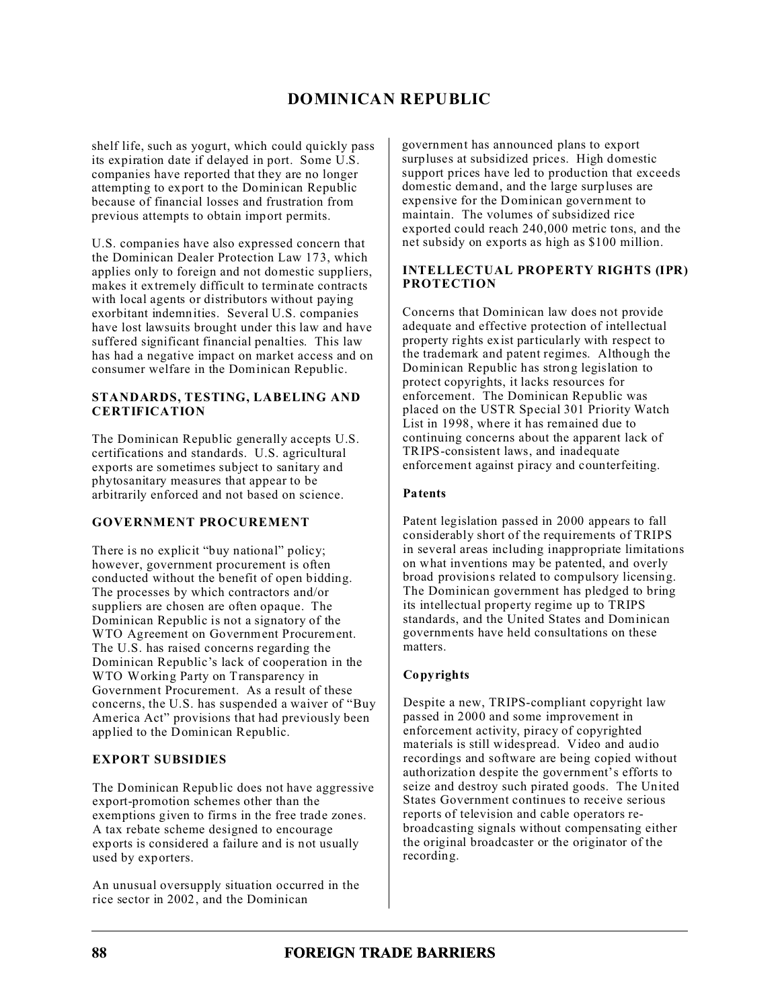# **DOMINICAN REPUBLIC**

shelf life, such as yogurt, which could quickly pass its expiration date if delayed in port. Some U.S. companies have reported that they are no longer attempting to export to the Dominican Republic because of financial losses and frustration from previous attempts to obtain import permits.

U.S. companies have also expressed concern that the Dominican Dealer Protection Law 173, which applies only to foreign and not domestic suppliers, makes it extremely difficult to terminate contracts with local agents or distributors without paying exorbitant indemnities. Several U.S. companies have lost lawsuits brought under this law and have suffered significant financial penalties. This law has had a negative impact on market access and on consumer welfare in the Dominican Republic.

## **STANDARDS, TESTING, LABELING AND CERTIFICATION**

The Dominican Republic generally accepts U.S. certifications and standards. U.S. agricultural exports are sometimes subject to sanitary and phytosanitary measures that appear to be arbitrarily enforced and not based on science.

# **GOVERNMENT PROCUREMENT**

There is no explicit "buy national" policy; however, government procurement is often conducted without the benefit of open bidding. The processes by which contractors and/or suppliers are chosen are often opaque. The Dominican Republic is not a signatory of the WTO Agreement on Government Procurement. The U.S. has raised concerns regarding the Dominican Republic's lack of cooperation in the WTO Working Party on Transparency in Government Procurement. As a result of these concerns, the U.S. has suspended a waiver of "Buy America Act" provisions that had previously been applied to the Dominican Republic.

# **EXPORT SUBSIDIES**

The Dominican Republic does not have aggressive export-promotion schemes other than the exemptions given to firms in the free trade zones. A tax rebate scheme designed to encourage exports is considered a failure and is not usually used by exporters.

An unusual oversupply situation occurred in the rice sector in 2002, and the Dominican

government has announced plans to export surpluses at subsidized prices. High domestic support prices have led to production that exceeds domestic demand, and the large surpluses are expensive for the Dominican government to maintain. The volumes of subsidized rice exported could reach 240,000 metric tons, and the net subsidy on exports as high as \$100 million.

# **INTELLECTUAL PROPERTY RIGHTS (IPR) PROTECTION**

Concerns that Dominican law does not provide adequate and effective protection of intellectual property rights exist particularly with respect to the trademark and patent regimes. Although the Dominican Republic has strong legislation to protect copyrights, it lacks resources for enforcement. The Dominican Republic was placed on the USTR Special 301 Priority Watch List in 1998, where it has remained due to continuing concerns about the apparent lack of TRIPS-consistent laws, and inadequate enforcement against piracy and counterfeiting.

## **Patents**

Patent legislation passed in 2000 appears to fall considerably short of the requirements of TRIPS in several areas including inappropriate limitations on what inventions may be patented, and overly broad provisions related to compulsory licensing. The Dominican government has pledged to bring its intellectual property regime up to TRIPS standards, and the United States and Dominican governments have held consultations on these matters.

# **Copyrights**

Despite a new, TRIPS-compliant copyright law passed in 2000 and some improvement in enforcement activity, piracy of copyrighted materials is still widespread. Video and audio recordings and software are being copied without authorization despite the government's efforts to seize and destroy such pirated goods. The United States Government continues to receive serious reports of television and cable operators rebroadcasting signals without compensating either the original broadcaster or the originator of the recording.